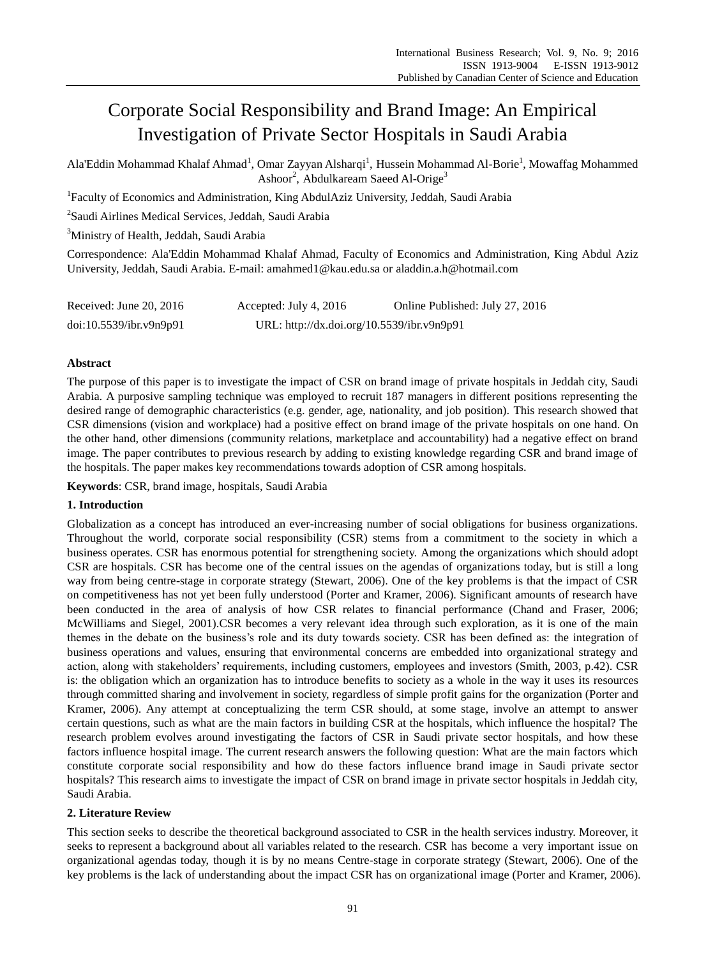# Corporate Social Responsibility and Brand Image: An Empirical Investigation of Private Sector Hospitals in Saudi Arabia

Ala'Eddin Mohammad Khalaf Ahmad<sup>1</sup>, Omar Zayyan Alsharqi<sup>1</sup>, Hussein Mohammad Al-Borie<sup>1</sup>, Mowaffag Mohammed Ashoor<sup>2</sup>, Abdulkaream Saeed Al-Orige<sup>3</sup>

<sup>1</sup>Faculty of Economics and Administration, King AbdulAziz University, Jeddah, Saudi Arabia

2 Saudi Airlines Medical Services, Jeddah, Saudi Arabia

<sup>3</sup>Ministry of Health, Jeddah, Saudi Arabia

Correspondence: Ala'Eddin Mohammad Khalaf Ahmad, Faculty of Economics and Administration, King Abdul Aziz University, Jeddah, Saudi Arabia. E-mail: amahmed1@kau.edu.sa or aladdin.a.h@hotmail.com

| Received: June 20, $2016$ | Accepted: July 4, 2016                     | Online Published: July 27, 2016 |
|---------------------------|--------------------------------------------|---------------------------------|
| doi:10.5539/ibr.v9n9p91   | URL: http://dx.doi.org/10.5539/ibr.v9n9p91 |                                 |

# **Abstract**

The purpose of this paper is to investigate the impact of CSR on brand image of private hospitals in Jeddah city, Saudi Arabia. A purposive sampling technique was employed to recruit 187 managers in different positions representing the desired range of demographic characteristics (e.g. gender, age, nationality, and job position). This research showed that CSR dimensions (vision and workplace) had a positive effect on brand image of the private hospitals on one hand. On the other hand, other dimensions (community relations, marketplace and accountability) had a negative effect on brand image. The paper contributes to previous research by adding to existing knowledge regarding CSR and brand image of the hospitals. The paper makes key recommendations towards adoption of CSR among hospitals.

**Keywords**: CSR, brand image, hospitals, Saudi Arabia

# **1. Introduction**

Globalization as a concept has introduced an ever-increasing number of social obligations for business organizations. Throughout the world, corporate social responsibility (CSR) stems from a commitment to the society in which a business operates. CSR has enormous potential for strengthening society. Among the organizations which should adopt CSR are hospitals. CSR has become one of the central issues on the agendas of organizations today, but is still a long way from being centre-stage in corporate strategy (Stewart, 2006). One of the key problems is that the impact of CSR on competitiveness has not yet been fully understood (Porter and Kramer, 2006). Significant amounts of research have been conducted in the area of analysis of how CSR relates to financial performance (Chand and Fraser, 2006; McWilliams and Siegel, 2001).CSR becomes a very relevant idea through such exploration, as it is one of the main themes in the debate on the business's role and its duty towards society. CSR has been defined as: the integration of business operations and values, ensuring that environmental concerns are embedded into organizational strategy and action, along with stakeholders' requirements, including customers, employees and investors (Smith, 2003, p.42). CSR is: the obligation which an organization has to introduce benefits to society as a whole in the way it uses its resources through committed sharing and involvement in society, regardless of simple profit gains for the organization (Porter and Kramer, 2006). Any attempt at conceptualizing the term CSR should, at some stage, involve an attempt to answer certain questions, such as what are the main factors in building CSR at the hospitals, which influence the hospital? The research problem evolves around investigating the factors of CSR in Saudi private sector hospitals, and how these factors influence hospital image. The current research answers the following question: What are the main factors which constitute corporate social responsibility and how do these factors influence brand image in Saudi private sector hospitals? This research aims to investigate the impact of CSR on brand image in private sector hospitals in Jeddah city, Saudi Arabia.

# **2. Literature Review**

This section seeks to describe the theoretical background associated to CSR in the health services industry. Moreover, it seeks to represent a background about all variables related to the research. CSR has become a very important issue on organizational agendas today, though it is by no means Centre-stage in corporate strategy (Stewart, 2006). One of the key problems is the lack of understanding about the impact CSR has on organizational image (Porter and Kramer, 2006).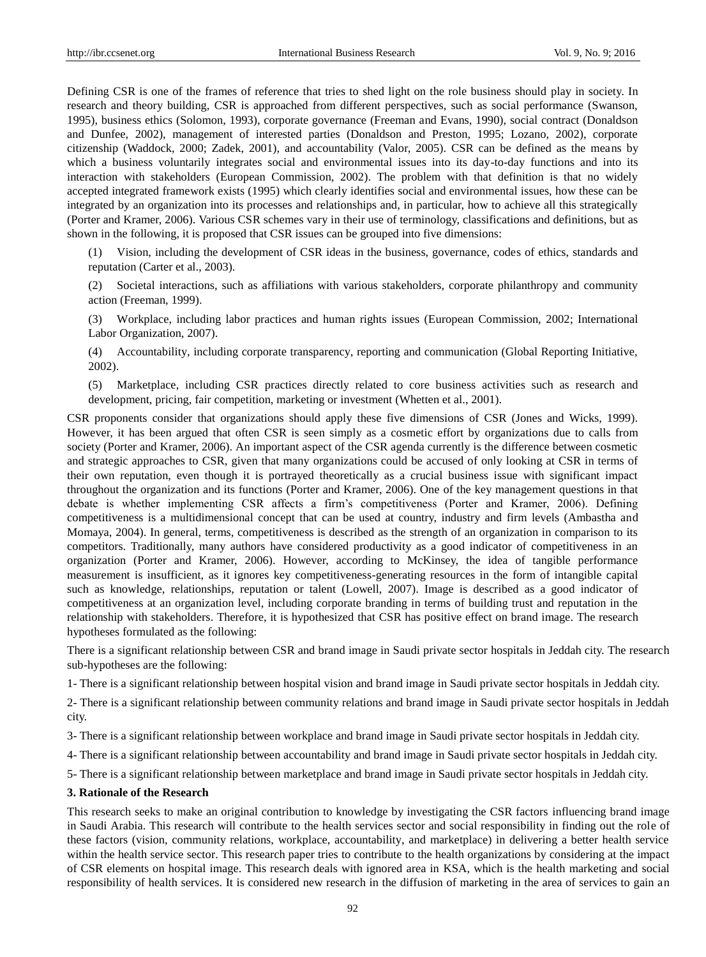Defining CSR is one of the frames of reference that tries to shed light on the role business should play in society. In research and theory building, CSR is approached from different perspectives, such as social performance (Swanson, 1995), business ethics (Solomon, 1993), corporate governance (Freeman and Evans, 1990), social contract (Donaldson and Dunfee, 2002), management of interested parties (Donaldson and Preston, 1995; Lozano, 2002), corporate citizenship (Waddock, 2000; Zadek, 2001), and accountability (Valor, 2005). CSR can be defined as the means by which a business voluntarily integrates social and environmental issues into its day-to-day functions and into its interaction with stakeholders (European Commission, 2002). The problem with that definition is that no widely accepted integrated framework exists (1995) which clearly identifies social and environmental issues, how these can be integrated by an organization into its processes and relationships and, in particular, how to achieve all this strategically (Porter and Kramer, 2006). Various CSR schemes vary in their use of terminology, classifications and definitions, but as shown in the following, it is proposed that CSR issues can be grouped into five dimensions:

(1) Vision, including the development of CSR ideas in the business, governance, codes of ethics, standards and reputation (Carter et al., 2003).

(2) Societal interactions, such as affiliations with various stakeholders, corporate philanthropy and community action (Freeman, 1999).

(3) Workplace, including labor practices and human rights issues (European Commission, 2002; International Labor Organization, 2007).

(4) Accountability, including corporate transparency, reporting and communication (Global Reporting Initiative, 2002).

(5) Marketplace, including CSR practices directly related to core business activities such as research and development, pricing, fair competition, marketing or investment (Whetten et al., 2001).

CSR proponents consider that organizations should apply these five dimensions of CSR (Jones and Wicks, 1999). However, it has been argued that often CSR is seen simply as a cosmetic effort by organizations due to calls from society (Porter and Kramer, 2006). An important aspect of the CSR agenda currently is the difference between cosmetic and strategic approaches to CSR, given that many organizations could be accused of only looking at CSR in terms of their own reputation, even though it is portrayed theoretically as a crucial business issue with significant impact throughout the organization and its functions (Porter and Kramer, 2006). One of the key management questions in that debate is whether implementing CSR affects a firm's competitiveness (Porter and Kramer, 2006). Defining competitiveness is a multidimensional concept that can be used at country, industry and firm levels (Ambastha and Momaya, 2004). In general, terms, competitiveness is described as the strength of an organization in comparison to its competitors. Traditionally, many authors have considered productivity as a good indicator of competitiveness in an organization (Porter and Kramer, 2006). However, according to McKinsey, the idea of tangible performance measurement is insufficient, as it ignores key competitiveness-generating resources in the form of intangible capital such as knowledge, relationships, reputation or talent (Lowell, 2007). Image is described as a good indicator of competitiveness at an organization level, including corporate branding in terms of building trust and reputation in the relationship with stakeholders. Therefore, it is hypothesized that CSR has positive effect on brand image. The research hypotheses formulated as the following:

There is a significant relationship between CSR and brand image in Saudi private sector hospitals in Jeddah city. The research sub-hypotheses are the following:

1- There is a significant relationship between hospital vision and brand image in Saudi private sector hospitals in Jeddah city.

2- There is a significant relationship between community relations and brand image in Saudi private sector hospitals in Jeddah city.

3- There is a significant relationship between workplace and brand image in Saudi private sector hospitals in Jeddah city.

4- There is a significant relationship between accountability and brand image in Saudi private sector hospitals in Jeddah city.

5- There is a significant relationship between marketplace and brand image in Saudi private sector hospitals in Jeddah city.

#### **3. Rationale of the Research**

This research seeks to make an original contribution to knowledge by investigating the CSR factors influencing brand image in Saudi Arabia. This research will contribute to the health services sector and social responsibility in finding out the role of these factors (vision, community relations, workplace, accountability, and marketplace) in delivering a better health service within the health service sector. This research paper tries to contribute to the health organizations by considering at the impact of CSR elements on hospital image. This research deals with ignored area in KSA, which is the health marketing and social responsibility of health services. It is considered new research in the diffusion of marketing in the area of services to gain an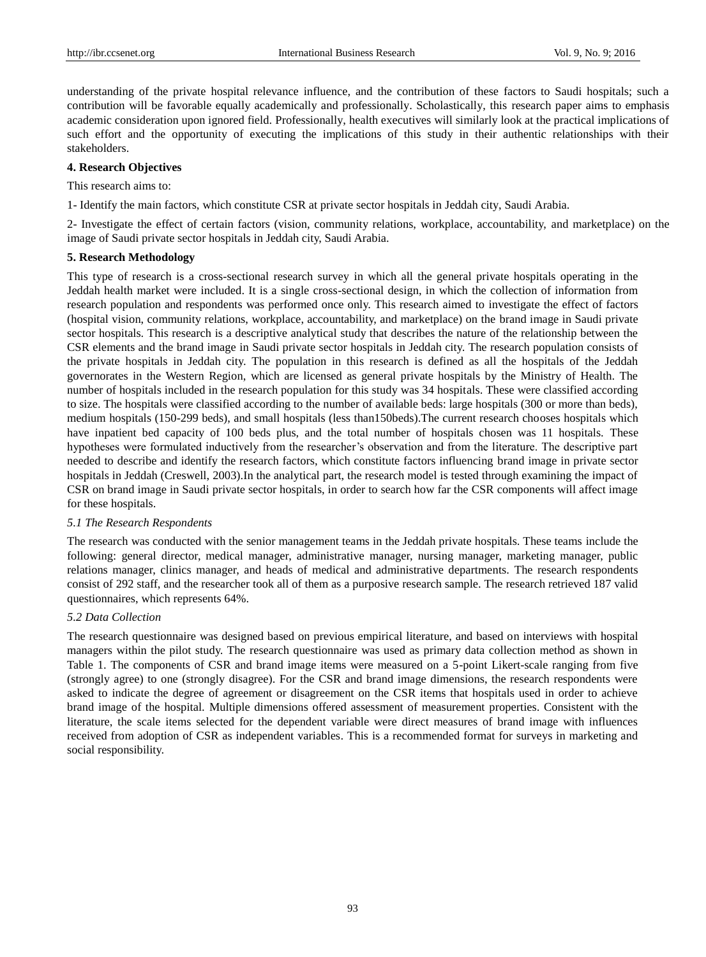understanding of the private hospital relevance influence, and the contribution of these factors to Saudi hospitals; such a contribution will be favorable equally academically and professionally. Scholastically, this research paper aims to emphasis academic consideration upon ignored field. Professionally, health executives will similarly look at the practical implications of such effort and the opportunity of executing the implications of this study in their authentic relationships with their stakeholders.

# **4. Research Objectives**

This research aims to:

1- Identify the main factors, which constitute CSR at private sector hospitals in Jeddah city, Saudi Arabia.

2- Investigate the effect of certain factors (vision, community relations, workplace, accountability, and marketplace) on the image of Saudi private sector hospitals in Jeddah city, Saudi Arabia.

#### **5. Research Methodology**

This type of research is a cross-sectional research survey in which all the general private hospitals operating in the Jeddah health market were included. It is a single cross-sectional design, in which the collection of information from research population and respondents was performed once only. This research aimed to investigate the effect of factors (hospital vision, community relations, workplace, accountability, and marketplace) on the brand image in Saudi private sector hospitals. This research is a descriptive analytical study that describes the nature of the relationship between the CSR elements and the brand image in Saudi private sector hospitals in Jeddah city. The research population consists of the private hospitals in Jeddah city. The population in this research is defined as all the hospitals of the Jeddah governorates in the Western Region, which are licensed as general private hospitals by the Ministry of Health. The number of hospitals included in the research population for this study was 34 hospitals. These were classified according to size. The hospitals were classified according to the number of available beds: large hospitals (300 or more than beds), medium hospitals (150-299 beds), and small hospitals (less than150beds).The current research chooses hospitals which have inpatient bed capacity of 100 beds plus, and the total number of hospitals chosen was 11 hospitals. These hypotheses were formulated inductively from the researcher's observation and from the literature. The descriptive part needed to describe and identify the research factors, which constitute factors influencing brand image in private sector hospitals in Jeddah (Creswell, 2003).In the analytical part, the research model is tested through examining the impact of CSR on brand image in Saudi private sector hospitals, in order to search how far the CSR components will affect image for these hospitals.

# *5.1 The Research Respondents*

The research was conducted with the senior management teams in the Jeddah private hospitals. These teams include the following: general director, medical manager, administrative manager, nursing manager, marketing manager, public relations manager, clinics manager, and heads of medical and administrative departments. The research respondents consist of 292 staff, and the researcher took all of them as a purposive research sample. The research retrieved 187 valid questionnaires, which represents 64%.

# *5.2 Data Collection*

The research questionnaire was designed based on previous empirical literature, and based on interviews with hospital managers within the pilot study. The research questionnaire was used as primary data collection method as shown in Table 1. The components of CSR and brand image items were measured on a 5-point Likert-scale ranging from five (strongly agree) to one (strongly disagree). For the CSR and brand image dimensions, the research respondents were asked to indicate the degree of agreement or disagreement on the CSR items that hospitals used in order to achieve brand image of the hospital. Multiple dimensions offered assessment of measurement properties. Consistent with the literature, the scale items selected for the dependent variable were direct measures of brand image with influences received from adoption of CSR as independent variables. This is a recommended format for surveys in marketing and social responsibility.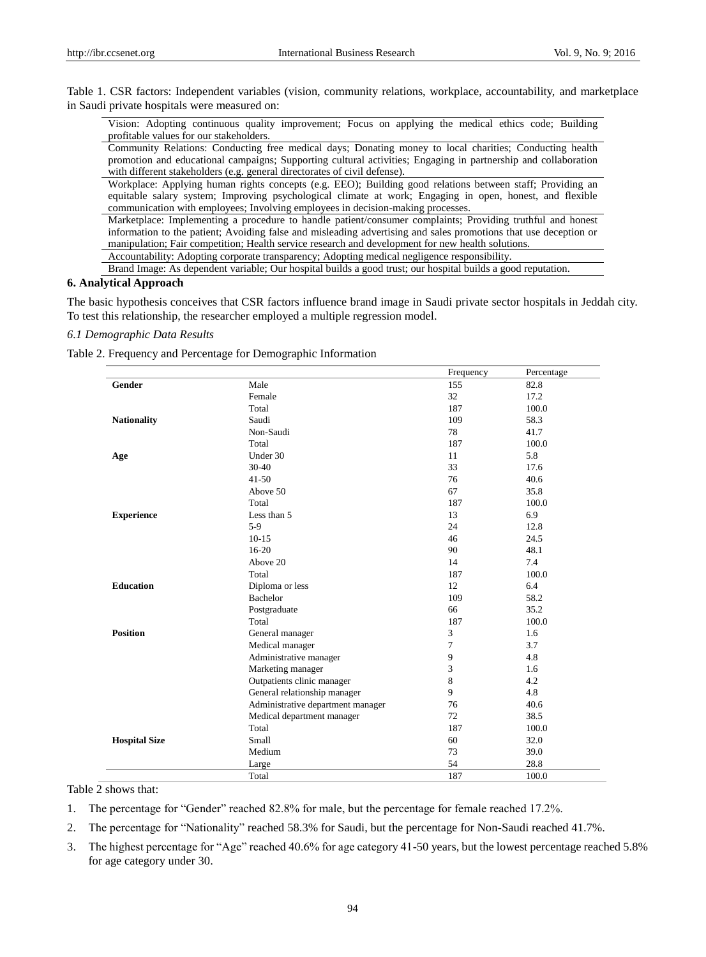Table 1. CSR factors: Independent variables (vision, community relations, workplace, accountability, and marketplace in Saudi private hospitals were measured on:

Vision: Adopting continuous quality improvement; Focus on applying the medical ethics code; Building profitable values for our stakeholders.

Community Relations: Conducting free medical days; Donating money to local charities; Conducting health promotion and educational campaigns; Supporting cultural activities; Engaging in partnership and collaboration with different stakeholders (e.g. general directorates of civil defense).

Workplace: Applying human rights concepts (e.g. EEO); Building good relations between staff; Providing an equitable salary system; Improving psychological climate at work; Engaging in open, honest, and flexible communication with employees; Involving employees in decision-making processes.

Marketplace: Implementing a procedure to handle patient/consumer complaints; Providing truthful and honest information to the patient; Avoiding false and misleading advertising and sales promotions that use deception or manipulation; Fair competition; Health service research and development for new health solutions.

Accountability: Adopting corporate transparency; Adopting medical negligence responsibility.

Brand Image: As dependent variable; Our hospital builds a good trust; our hospital builds a good reputation.

### **6. Analytical Approach**

The basic hypothesis conceives that CSR factors influence brand image in Saudi private sector hospitals in Jeddah city. To test this relationship, the researcher employed a multiple regression model.

#### *6.1 Demographic Data Results*

Table 2. Frequency and Percentage for Demographic Information

|                      |                                   | Frequency | Percentage |
|----------------------|-----------------------------------|-----------|------------|
| Gender               | Male                              | 155       | 82.8       |
|                      | Female                            | 32        | 17.2       |
|                      | Total                             | 187       | 100.0      |
| <b>Nationality</b>   | Saudi                             | 109       | 58.3       |
|                      | Non-Saudi                         | 78        | 41.7       |
|                      | Total                             | 187       | 100.0      |
| Age                  | Under 30                          | 11        | 5.8        |
|                      | $30 - 40$                         | 33        | 17.6       |
|                      | $41 - 50$                         | 76        | 40.6       |
|                      | Above 50                          | 67        | 35.8       |
|                      | Total                             | 187       | 100.0      |
| <b>Experience</b>    | Less than 5                       | 13        | 6.9        |
|                      | $5-9$                             | 24        | 12.8       |
|                      | $10-15$                           | 46        | 24.5       |
|                      | $16-20$                           | 90        | 48.1       |
|                      | Above 20                          | 14        | 7.4        |
|                      | Total                             | 187       | 100.0      |
| <b>Education</b>     | Diploma or less                   | 12        | 6.4        |
|                      | Bachelor                          | 109       | 58.2       |
|                      | Postgraduate                      | 66        | 35.2       |
|                      | Total                             | 187       | 100.0      |
| <b>Position</b>      | General manager                   | 3         | 1.6        |
|                      | Medical manager                   | 7         | 3.7        |
|                      | Administrative manager            | 9         | 4.8        |
|                      | Marketing manager                 | 3         | 1.6        |
|                      | Outpatients clinic manager        | 8         | 4.2        |
|                      | General relationship manager      | 9         | 4.8        |
|                      | Administrative department manager | 76        | 40.6       |
|                      | Medical department manager        | 72        | 38.5       |
|                      | Total                             | 187       | 100.0      |
| <b>Hospital Size</b> | Small                             | 60        | 32.0       |
|                      | Medium                            | 73        | 39.0       |
|                      | Large                             | 54        | 28.8       |
|                      | Total                             | 187       | 100.0      |

Table 2 shows that:

1. The percentage for "Gender" reached 82.8% for male, but the percentage for female reached 17.2%.

2. The percentage for "Nationality" reached 58.3% for Saudi, but the percentage for Non-Saudi reached 41.7%.

3. The highest percentage for "Age" reached 40.6% for age category 41-50 years, but the lowest percentage reached 5.8% for age category under 30.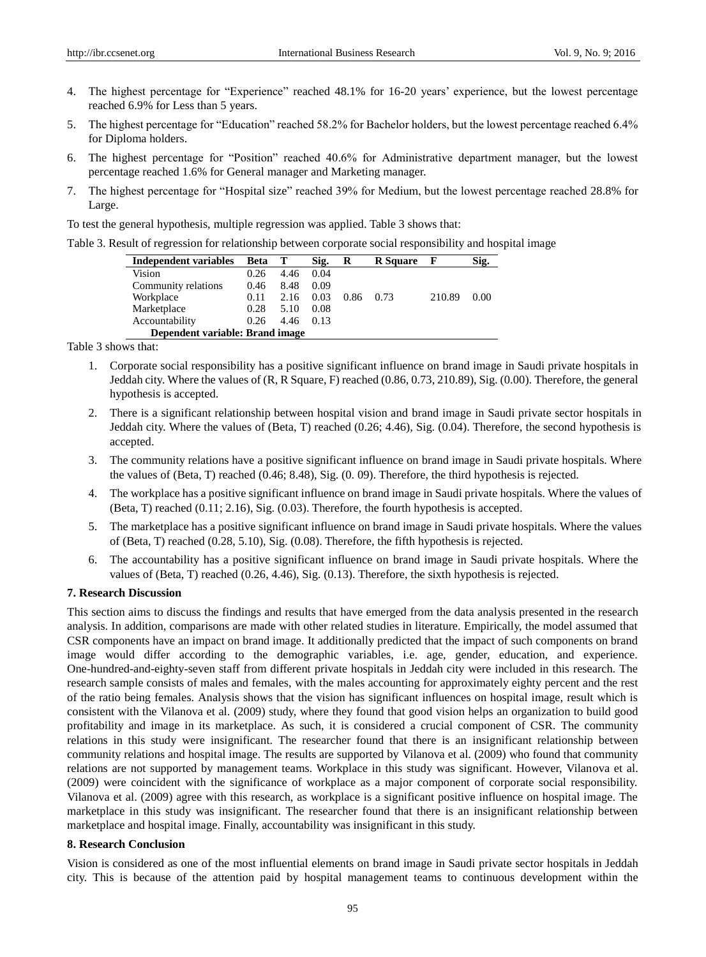- 4. The highest percentage for "Experience" reached 48.1% for 16-20 years' experience, but the lowest percentage reached 6.9% for Less than 5 years.
- 5. The highest percentage for "Education" reached 58.2% for Bachelor holders, but the lowest percentage reached 6.4% for Diploma holders.
- 6. The highest percentage for "Position" reached 40.6% for Administrative department manager, but the lowest percentage reached 1.6% for General manager and Marketing manager.
- 7. The highest percentage for "Hospital size" reached 39% for Medium, but the lowest percentage reached 28.8% for Large.

To test the general hypothesis, multiple regression was applied. Table 3 shows that:

Table 3. Result of regression for relationship between corporate social responsibility and hospital image

| Independent variables           | <b>Beta</b> |      | Sig. | R    | <b>R</b> Square | F      | Sig. |  |  |
|---------------------------------|-------------|------|------|------|-----------------|--------|------|--|--|
| Vision                          | 0.26        | 4.46 | 0.04 |      |                 |        |      |  |  |
| Community relations             | 0.46        | 8.48 | 0.09 |      |                 |        |      |  |  |
| Workplace                       | 0.11        | 2.16 | 0.03 | 0.86 | 0.73            | 210.89 | 0.00 |  |  |
| Marketplace                     | 0.28        | 5.10 | 0.08 |      |                 |        |      |  |  |
| Accountability                  | 0.26        | 4.46 | 0.13 |      |                 |        |      |  |  |
| Dependent variable: Brand image |             |      |      |      |                 |        |      |  |  |

Table 3 shows that:

- 1. Corporate social responsibility has a positive significant influence on brand image in Saudi private hospitals in Jeddah city. Where the values of (R, R Square, F) reached (0.86, 0.73, 210.89), Sig. (0.00). Therefore, the general hypothesis is accepted.
- 2. There is a significant relationship between hospital vision and brand image in Saudi private sector hospitals in Jeddah city. Where the values of (Beta, T) reached (0.26; 4.46), Sig. (0.04). Therefore, the second hypothesis is accepted.
- 3. The community relations have a positive significant influence on brand image in Saudi private hospitals. Where the values of (Beta, T) reached (0.46; 8.48), Sig. (0. 09). Therefore, the third hypothesis is rejected.
- 4. The workplace has a positive significant influence on brand image in Saudi private hospitals. Where the values of (Beta, T) reached (0.11; 2.16), Sig. (0.03). Therefore, the fourth hypothesis is accepted.
- 5. The marketplace has a positive significant influence on brand image in Saudi private hospitals. Where the values of (Beta, T) reached (0.28, 5.10), Sig. (0.08). Therefore, the fifth hypothesis is rejected.
- 6. The accountability has a positive significant influence on brand image in Saudi private hospitals. Where the values of (Beta, T) reached (0.26, 4.46), Sig. (0.13). Therefore, the sixth hypothesis is rejected.

# **7. Research Discussion**

This section aims to discuss the findings and results that have emerged from the data analysis presented in the research analysis. In addition, comparisons are made with other related studies in literature. Empirically, the model assumed that CSR components have an impact on brand image. It additionally predicted that the impact of such components on brand image would differ according to the demographic variables, i.e. age, gender, education, and experience. One-hundred-and-eighty-seven staff from different private hospitals in Jeddah city were included in this research. The research sample consists of males and females, with the males accounting for approximately eighty percent and the rest of the ratio being females. Analysis shows that the vision has significant influences on hospital image, result which is consistent with the Vilanova et al. (2009) study, where they found that good vision helps an organization to build good profitability and image in its marketplace. As such, it is considered a crucial component of CSR. The community relations in this study were insignificant. The researcher found that there is an insignificant relationship between community relations and hospital image. The results are supported by Vilanova et al. (2009) who found that community relations are not supported by management teams. Workplace in this study was significant. However, Vilanova et al. (2009) were coincident with the significance of workplace as a major component of corporate social responsibility. Vilanova et al. (2009) agree with this research, as workplace is a significant positive influence on hospital image. The marketplace in this study was insignificant. The researcher found that there is an insignificant relationship between marketplace and hospital image. Finally, accountability was insignificant in this study.

#### **8. Research Conclusion**

Vision is considered as one of the most influential elements on brand image in Saudi private sector hospitals in Jeddah city. This is because of the attention paid by hospital management teams to continuous development within the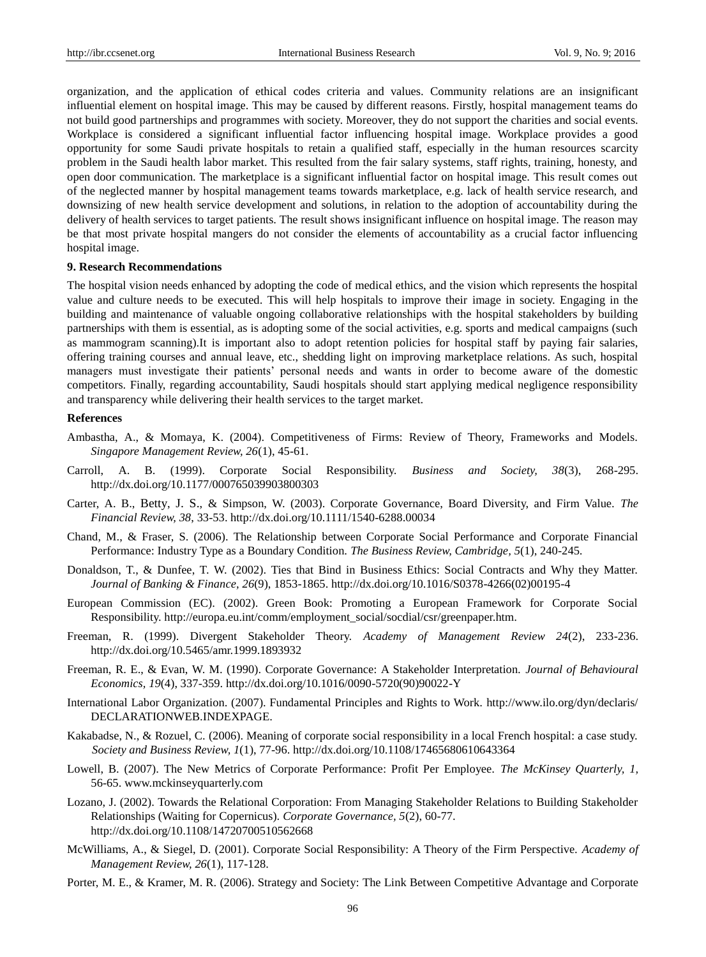organization, and the application of ethical codes criteria and values. Community relations are an insignificant influential element on hospital image. This may be caused by different reasons. Firstly, hospital management teams do not build good partnerships and programmes with society. Moreover, they do not support the charities and social events. Workplace is considered a significant influential factor influencing hospital image. Workplace provides a good opportunity for some Saudi private hospitals to retain a qualified staff, especially in the human resources scarcity problem in the Saudi health labor market. This resulted from the fair salary systems, staff rights, training, honesty, and open door communication. The marketplace is a significant influential factor on hospital image. This result comes out of the neglected manner by hospital management teams towards marketplace, e.g. lack of health service research, and downsizing of new health service development and solutions, in relation to the adoption of accountability during the delivery of health services to target patients. The result shows insignificant influence on hospital image. The reason may be that most private hospital mangers do not consider the elements of accountability as a crucial factor influencing hospital image.

#### **9. Research Recommendations**

The hospital vision needs enhanced by adopting the code of medical ethics, and the vision which represents the hospital value and culture needs to be executed. This will help hospitals to improve their image in society. Engaging in the building and maintenance of valuable ongoing collaborative relationships with the hospital stakeholders by building partnerships with them is essential, as is adopting some of the social activities, e.g. sports and medical campaigns (such as mammogram scanning).It is important also to adopt retention policies for hospital staff by paying fair salaries, offering training courses and annual leave, etc., shedding light on improving marketplace relations. As such, hospital managers must investigate their patients' personal needs and wants in order to become aware of the domestic competitors. Finally, regarding accountability, Saudi hospitals should start applying medical negligence responsibility and transparency while delivering their health services to the target market.

#### **References**

- Ambastha, A., & Momaya, K. (2004). Competitiveness of Firms: Review of Theory, Frameworks and Models. *Singapore Management Review, 26*(1), 45-61.
- Carroll, A. B. (1999). Corporate Social Responsibility. *Business and Society, 38*(3), 268-295. <http://dx.doi.org/10.1177/000765039903800303>
- Carter, A. B., Betty, J. S., & Simpson, W. (2003). Corporate Governance, Board Diversity, and Firm Value. *The Financial Review, 38*, 33-53[. http://dx.doi.org/10.1111/1540-6288.00034](http://dx.doi.org/10.1111/1540-6288.00034)
- Chand, M., & Fraser, S. (2006). The Relationship between Corporate Social Performance and Corporate Financial Performance: Industry Type as a Boundary Condition. *The Business Review, Cambridge, 5*(1), 240-245.
- Donaldson, T., & Dunfee, T. W. (2002). Ties that Bind in Business Ethics: Social Contracts and Why they Matter. *Journal of Banking & Finance, 26*(9), 1853-1865[. http://dx.doi.org/10.1016/S0378-4266\(02\)00195-4](http://dx.doi.org/10.1016/S0378-4266%2802%2900195-4)
- European Commission (EC). (2002). Green Book: Promoting a European Framework for Corporate Social Responsibility. http://europa.eu.int/comm/employment\_social/socdial/csr/greenpaper.htm.
- Freeman, R. (1999). Divergent Stakeholder Theory. *Academy of Management Review 24*(2), 233-236. <http://dx.doi.org/10.5465/amr.1999.1893932>
- Freeman, R. E., & Evan, W. M. (1990). Corporate Governance: A Stakeholder Interpretation. *Journal of Behavioural Economics, 19*(4), 337-359[. http://dx.doi.org/10.1016/0090-5720\(90\)90022-Y](http://dx.doi.org/10.1016/0090-5720%2890%2990022-Y)
- International Labor Organization. (2007). Fundamental Principles and Rights to Work.<http://www.ilo.org/dyn/declaris/> DECLARATIONWEB.INDEXPAGE.
- [Kakabadse,](http://www.emeraldinsight.com/action/doSearch?ContribStored=Kakabadse%2C+N+K) N., & [Rozuel,](http://www.emeraldinsight.com/action/doSearch?ContribStored=Rozuel%2C+C) C. (2006). Meaning of corporate social responsibility in a local French hospital: a case study. *Society and Business Review, 1*(1), 77-96.<http://dx.doi.org/10.1108/17465680610643364>
- Lowell, B. (2007). The New Metrics of Corporate Performance: Profit Per Employee. *The McKinsey Quarterly, 1,* 56-65. www.mckinseyquarterly.com
- Lozano, J. (2002). Towards the Relational Corporation: From Managing Stakeholder Relations to Building Stakeholder Relationships (Waiting for Copernicus). *Corporate Governance, 5*(2), 60-77. <http://dx.doi.org/10.1108/14720700510562668>
- McWilliams, A., & Siegel, D. (2001). Corporate Social Responsibility: A Theory of the Firm Perspective. *Academy of Management Review, 26*(1), 117-128.
- Porter, M. E., & Kramer, M. R. (2006). Strategy and Society: The Link Between Competitive Advantage and Corporate